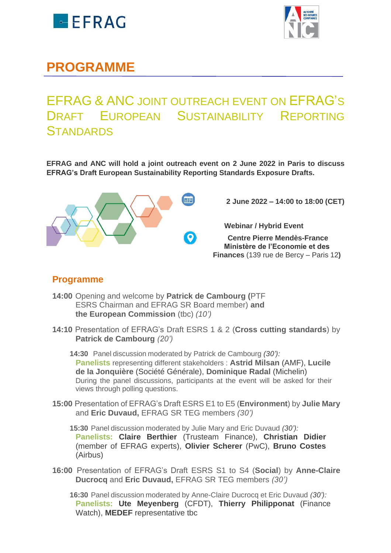



## **PROGRAMME**

## EFRAG & ANC JOINT OUTREACH EVENT ON EFRAG'S DRAFT EUROPEAN SUSTAINABILITY REPORTING **STANDARDS**

**EFRAG and ANC will hold a joint outreach event on 2 June 2022 in Paris to discuss EFRAG's Draft European Sustainability Reporting Standards Exposure Drafts.** 



 **2 June 2022 – 14:00 to 18:00 (CET)**

 **Webinar / Hybrid Event** 

**Centre Pierre Mendès-France Ministère de l'Economie et des Finances** (139 rue de Bercy – Paris 12**)**

## **Programme**

- **14:00** Opening and welcome by **Patrick de Cambourg (**PTF ESRS Chairman and EFRAG SR Board member) **and the European Commission** (tbc) *(10')*
- **14:10** Presentation of EFRAG's Draft ESRS 1 & 2 (**Cross cutting standards**) by **Patrick de Cambourg** *(20')*

**14:30** Panel discussion moderated by Patrick de Cambourg *(30'):* **Panelists** representing different stakeholders : **Astrid Milsan** (AMF), **Lucile de la Jonquière** (Société Générale), **Dominique Radal** (Michelin) During the panel discussions, participants at the event will be asked for their views through polling questions.

**15:00** Presentation of EFRAG's Draft ESRS E1 to E5 (**Environment**) by **Julie Mary**  and **Eric Duvaud,** EFRAG SR TEG members *(30')*

**15:30** Panel discussion moderated by Julie Mary and Eric Duvaud *(30'):* **Panelists: Claire Berthier** (Trusteam Finance), **Christian Didier** (member of EFRAG experts), **Olivier Scherer** (PwC), **Bruno Costes** (Airbus)

**16:00** Presentation of EFRAG's Draft ESRS S1 to S4 (**Social**) by **Anne-Claire Ducrocq** and **Eric Duvaud,** EFRAG SR TEG members *(30')*

**16:30** Panel discussion moderated by Anne-Claire Ducrocq et Eric Duvaud *(30'):* **Panelists: Ute Meyenberg** (CFDT), **Thierry Philipponat** (Finance Watch), **MEDEF** representative tbc